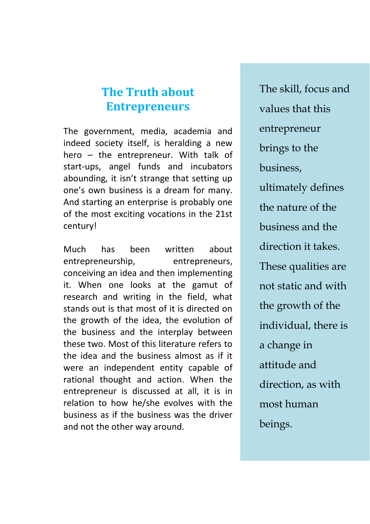# **The Truth about Entrepreneurs**

The government, media, academia and indeed society itself, is heralding a new hero – the entrepreneur. With talk of start-ups, angel funds and incubators abounding, it isn't strange that setting up one's own business is a dream for many. And starting an enterprise is probably one of the most exciting vocations in the 21st century!

Much has been written about entrepreneurship, entrepreneurs, conceiving an idea and then implementing it. When one looks at the gamut of research and writing in the field, what stands out is that most of it is directed on the growth of the idea, the evolution of the business and the interplay between these two. Most of this literature refers to the idea and the business almost as if it were an independent entity capable of rational thought and action. When the entrepreneur is discussed at all, it is in relation to how he/she evolves with the business as if the business was the driver and not the other way around.

The skill, focus and values that this entrepreneur brings to the business, ultimately defines the nature of the business and the direction it takes. These qualities are not static and with the growth of the individual, there is a change in attitude and direction, as with most human beings.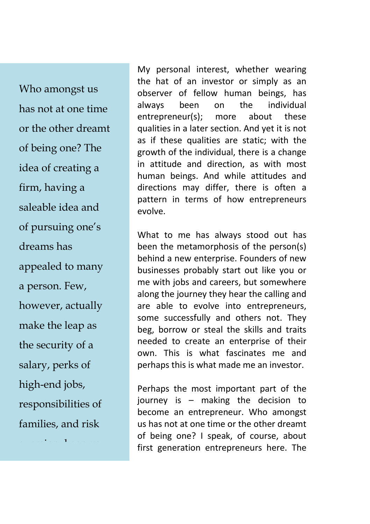Who amongst us has not at one time or the other dreamt of being one? The idea of creating a firm, having a saleable idea and of pursuing one's dreams has appealed to many a person. Few, however, actually make the leap as the security of a salary, perks of high-end jobs, responsibilities of families, and risk

aversion, keep us

tied down.

My personal interest, whether wearing the hat of an investor or simply as an observer of fellow human beings, has always been on the individual entrepreneur(s); more about these qualities in a later section. And yet it is not as if these qualities are static; with the growth of the individual, there is a change in attitude and direction, as with most human beings. And while attitudes and directions may differ, there is often a pattern in terms of how entrepreneurs evolve.

What to me has always stood out has been the metamorphosis of the person(s) behind a new enterprise. Founders of new businesses probably start out like you or me with jobs and careers, but somewhere along the journey they hear the calling and are able to evolve into entrepreneurs, some successfully and others not. They beg, borrow or steal the skills and traits needed to create an enterprise of their own. This is what fascinates me and perhaps this is what made me an investor.

Perhaps the most important part of the journey is – making the decision to become an entrepreneur. Who amongst us has not at one time or the other dreamt of being one? I speak, of course, about first generation entrepreneurs here. The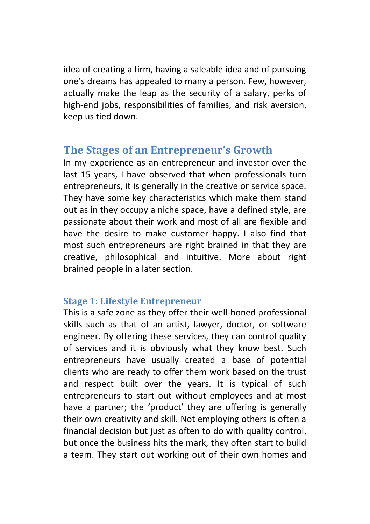idea of creating a firm, having a saleable idea and of pursuing one's dreams has appealed to many a person. Few, however, actually make the leap as the security of a salary, perks of high-end jobs, responsibilities of families, and risk aversion, keep us tied down.

# **The Stages of an Entrepreneur's Growth**

In my experience as an entrepreneur and investor over the last 15 years, I have observed that when professionals turn entrepreneurs, it is generally in the creative or service space. They have some key characteristics which make them stand out as in they occupy a niche space, have a defined style, are passionate about their work and most of all are flexible and have the desire to make customer happy. I also find that most such entrepreneurs are right brained in that they are creative, philosophical and intuitive. More about right brained people in a later section.

## **Stage 1: Lifestyle Entrepreneur**

This is a safe zone as they offer their well-honed professional skills such as that of an artist, lawyer, doctor, or software engineer. By offering these services, they can control quality of services and it is obviously what they know best. Such entrepreneurs have usually created a base of potential clients who are ready to offer them work based on the trust and respect built over the years. It is typical of such entrepreneurs to start out without employees and at most have a partner; the 'product' they are offering is generally their own creativity and skill. Not employing others is often a financial decision but just as often to do with quality control, but once the business hits the mark, they often start to build a team. They start out working out of their own homes and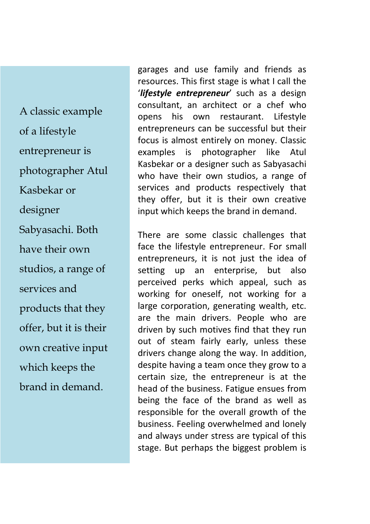A classic example of a lifestyle entrepreneur is photographer Atul Kasbekar or designer Sabyasachi. Both have their own studios, a range of services and products that they offer, but it is their own creative input which keeps the brand in demand.

garages and use family and friends as resources. This first stage is what I call the '*lifestyle entrepreneur*' such as a design consultant, an architect or a chef who opens his own restaurant. Lifestyle entrepreneurs can be successful but their focus is almost entirely on money. Classic examples is photographer like Atul Kasbekar or a designer such as Sabyasachi who have their own studios, a range of services and products respectively that they offer, but it is their own creative input which keeps the brand in demand.

There are some classic challenges that face the lifestyle entrepreneur. For small entrepreneurs, it is not just the idea of setting up an enterprise, but also perceived perks which appeal, such as working for oneself, not working for a large corporation, generating wealth, etc. are the main drivers. People who are driven by such motives find that they run out of steam fairly early, unless these drivers change along the way. In addition, despite having a team once they grow to a certain size, the entrepreneur is at the head of the business. Fatigue ensues from being the face of the brand as well as responsible for the overall growth of the business. Feeling overwhelmed and lonely and always under stress are typical of this stage. But perhaps the biggest problem is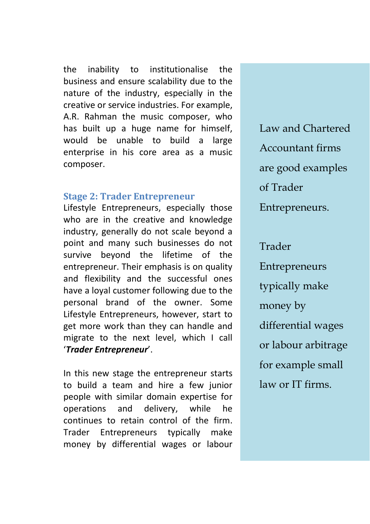the inability to institutionalise the business and ensure scalability due to the nature of the industry, especially in the creative or service industries. For example, A.R. Rahman the music composer, who has built up a huge name for himself, would be unable to build a large enterprise in his core area as a music composer.

#### **Stage 2: Trader Entrepreneur**

Lifestyle Entrepreneurs, especially those who are in the creative and knowledge industry, generally do not scale beyond a point and many such businesses do not survive beyond the lifetime of the entrepreneur. Their emphasis is on quality and flexibility and the successful ones have a loyal customer following due to the personal brand of the owner. Some Lifestyle Entrepreneurs, however, start to get more work than they can handle and migrate to the next level, which I call '*Trader Entrepreneur*'.

In this new stage the entrepreneur starts to build a team and hire a few junior people with similar domain expertise for operations and delivery, while he continues to retain control of the firm. Trader Entrepreneurs typically make money by differential wages or labour

Law and Chartered Accountant firms are good examples of Trader Entrepreneurs.

### Trader

Entrepreneurs typically make money by differential wages or labour arbitrage for example small law or IT firms.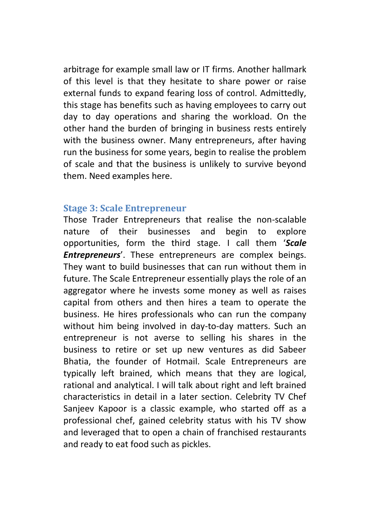arbitrage for example small law or IT firms. Another hallmark of this level is that they hesitate to share power or raise external funds to expand fearing loss of control. Admittedly, this stage has benefits such as having employees to carry out day to day operations and sharing the workload. On the other hand the burden of bringing in business rests entirely with the business owner. Many entrepreneurs, after having run the business for some years, begin to realise the problem of scale and that the business is unlikely to survive beyond them. Need examples here.

#### **Stage 3: Scale Entrepreneur**

Those Trader Entrepreneurs that realise the non-scalable nature of their businesses and begin to explore opportunities, form the third stage. I call them '*Scale Entrepreneurs*'. These entrepreneurs are complex beings. They want to build businesses that can run without them in future. The Scale Entrepreneur essentially plays the role of an aggregator where he invests some money as well as raises capital from others and then hires a team to operate the business. He hires professionals who can run the company without him being involved in day-to-day matters. Such an entrepreneur is not averse to selling his shares in the business to retire or set up new ventures as did Sabeer Bhatia, the founder of Hotmail. Scale Entrepreneurs are typically left brained, which means that they are logical, rational and analytical. I will talk about right and left brained characteristics in detail in a later section. Celebrity TV Chef Sanjeev Kapoor is a classic example, who started off as a professional chef, gained celebrity status with his TV show and leveraged that to open a chain of franchised restaurants and ready to eat food such as pickles.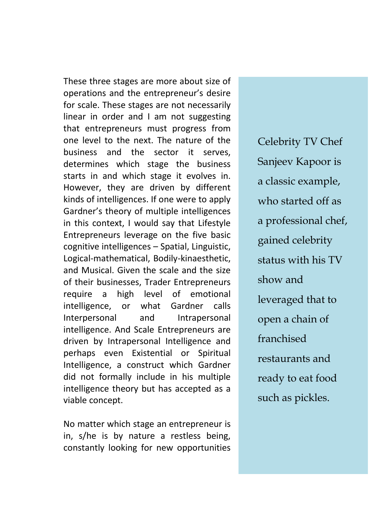These three stages are more about size of operations and the entrepreneur's desire for scale. These stages are not necessarily linear in order and I am not suggesting that entrepreneurs must progress from one level to the next. The nature of the business and the sector it serves, determines which stage the business starts in and which stage it evolves in. However, they are driven by different kinds of intelligences. If one were to apply Gardner's theory of multiple intelligences in this context, I would say that Lifestyle Entrepreneurs leverage on the five basic cognitive intelligences – Spatial, Linguistic, Logical-mathematical, Bodily-kinaesthetic, and Musical. Given the scale and the size of their businesses, Trader Entrepreneurs require a high level of emotional intelligence, or what Gardner calls Interpersonal and Intrapersonal intelligence. And Scale Entrepreneurs are driven by Intrapersonal Intelligence and perhaps even Existential or Spiritual Intelligence, a construct which Gardner did not formally include in his multiple intelligence theory but has accepted as a viable concept.

No matter which stage an entrepreneur is in, s/he is by nature a restless being, constantly looking for new opportunities

Celebrity TV Chef Sanjeev Kapoor is a classic example, who started off as a professional chef, gained celebrity status with his TV show and leveraged that to open a chain of franchised restaurants and ready to eat food such as pickles.